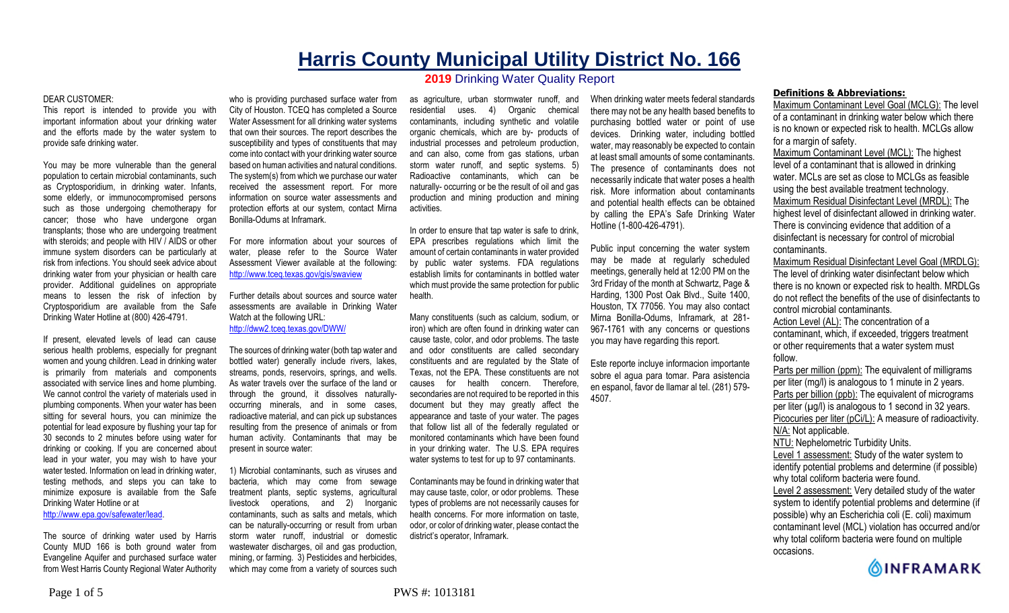# **Harris County Municipal Utility District No. 166 2019** Drinking Water Quality Report

#### DEAR CUSTOMER:

This report is intended to provide you with important information about your drinking water and the efforts made by the water system to provide safe drinking water.

You may be more vulnerable than the general population to certain microbial contaminants, such as Cryptosporidium, in drinking water. Infants, some elderly, or immunocompromised persons such as those undergoing chemotherapy for cancer; those who have undergone organ transplants; those who are undergoing treatment with steroids; and people with HIV / AIDS or other immune system disorders can be particularly at risk from infections. You should seek advice about drinking water from your physician or health care provider. Additional guidelines on appropriate means to lessen the risk of infection by Cryptosporidium are available from the Safe Drinking Water Hotline at (800) 426-4791.

If present, elevated levels of lead can cause serious health problems, especially for pregnant women and young children. Lead in drinking water is primarily from materials and components associated with service lines and home plumbing. We cannot control the variety of materials used in plumbing components. When your water has been sitting for several hours, you can minimize the potential for lead exposure by flushing your tap for 30 seconds to 2 minutes before using water for drinking or cooking. If you are concerned about lead in your water, you may wish to have your water tested. Information on lead in drinking water, testing methods, and steps you can take to minimize exposure is available from the Safe Drinking Water Hotline or at

http://www.epa.gov/safewater/lead.

The source of drinking water used by Harris County MUD 166 is both ground water from Evangeline Aquifer and purchased surface water from West Harris County Regional Water Authority

who is providing purchased surface water from City of Houston. TCEQ has completed a Source Water Assessment for all drinking water systems that own their sources. The report describes the susceptibility and types of constituents that may come into contact with your drinking water source based on human activities and natural conditions. The system(s) from which we purchase our water received the assessment report. For more information on source water assessments and protection efforts at our system, contact Mirna Bonilla-Odums at Inframark.

For more information about your sources of water, please refer to the Source Water Assessment Viewer available at the following: http://www.tceq.texas.gov/gis/swaview

Further details about sources and source water assessments are available in Drinking Water Watch at the following URL: http://dww2.tceq.texas.gov/DWW/

The sources of drinking water (both tap water and bottled water) generally include rivers, lakes, streams, ponds, reservoirs, springs, and wells. As water travels over the surface of the land or through the ground, it dissolves naturallyoccurring minerals, and in some cases, radioactive material, and can pick up substances resulting from the presence of animals or from human activity. Contaminants that may be present in source water:

1) Microbial contaminants, such as viruses and bacteria, which may come from sewage treatment plants, septic systems, agricultural livestock operations, and 2) Inorganic contaminants, such as salts and metals, which can be naturally-occurring or result from urban storm water runoff, industrial or domestic wastewater discharges, oil and gas production, mining, or farming. 3) Pesticides and herbicides, which may come from a variety of sources such

as agriculture, urban stormwater runoff, and residential uses. 4) Organic chemical contaminants, including synthetic and volatile organic chemicals, which are by- products of industrial processes and petroleum production, and can also, come from gas stations, urban storm water runoff, and septic systems. 5) Radioactive contaminants, which can be naturally- occurring or be the result of oil and gas production and mining production and mining activities.

In order to ensure that tap water is safe to drink, EPA prescribes regulations which limit the amount of certain contaminants in water provided by public water systems. FDA regulations establish limits for contaminants in bottled water which must provide the same protection for public health.

Many constituents (such as calcium, sodium, or iron) which are often found in drinking water can cause taste, color, and odor problems. The taste and odor constituents are called secondary constituents and are regulated by the State of Texas, not the EPA. These constituents are not causes for health concern. Therefore, secondaries are not required to be reported in this document but they may greatly affect the appearance and taste of your water. The pages that follow list all of the federally regulated or monitored contaminants which have been found in your drinking water. The U.S. EPA requires water systems to test for up to 97 contaminants.

Contaminants may be found in drinking water that may cause taste, color, or odor problems. These types of problems are not necessarily causes for health concerns. For more information on taste, odor, or color of drinking water, please contact the district's operator, Inframark.

When drinking water meets federal standards there may not be any health based benefits to purchasing bottled water or point of use devices. Drinking water, including bottled water, may reasonably be expected to contain at least small amounts of some contaminants. The presence of contaminants does not necessarily indicate that water poses a health risk. More information about contaminants and potential health effects can be obtained by calling the EPA's Safe Drinking Water Hotline (1-800-426-4791).

Public input concerning the water system may be made at regularly scheduled meetings, generally held at 12:00 PM on the 3rd Friday of the month at Schwartz, Page & Harding, 1300 Post Oak Blvd., Suite 1400, Houston, TX 77056. You may also contact Mirna Bonilla-Odums, Inframark, at 281- 967-1761 with any concerns or questions you may have regarding this report.

Este reporte incluye informacion importante sobre el agua para tomar. Para asistencia en espanol, favor de llamar al tel. (281) 579- 4507.

### **Definitions & Abbreviations:**

Maximum Contaminant Level Goal (MCLG): The level of a contaminant in drinking water below which there is no known or expected risk to health. MCLGs allow for a margin of safety.

Maximum Contaminant Level (MCL): The highest level of a contaminant that is allowed in drinking water. MCLs are set as close to MCLGs as feasible using the best available treatment technology. Maximum Residual Disinfectant Level (MRDL): The highest level of disinfectant allowed in drinking water. There is convincing evidence that addition of a disinfectant is necessary for control of microbial contaminants.

Maximum Residual Disinfectant Level Goal (MRDLG): The level of drinking water disinfectant below which there is no known or expected risk to health. MRDLGs do not reflect the benefits of the use of disinfectants to control microbial contaminants.

Action Level (AL): The concentration of a contaminant, which, if exceeded, triggers treatment or other requirements that a water system must follow.

Parts per million (ppm): The equivalent of milligrams per liter (mg/l) is analogous to 1 minute in 2 years. Parts per billion (ppb): The equivalent of micrograms per liter  $(\mu g/l)$  is analogous to 1 second in 32 years. Picocuries per liter (pCi/L): A measure of radioactivity. N/A: Not applicable. NTU: Nephelometric Turbidity Units. Level 1 assessment: Study of the water system to

identify potential problems and determine (if possible) why total coliform bacteria were found.

Level 2 assessment: Very detailed study of the water system to identify potential problems and determine (if possible) why an Escherichia coli (E. coli) maximum contaminant level (MCL) violation has occurred and/or why total coliform bacteria were found on multiple occasions.

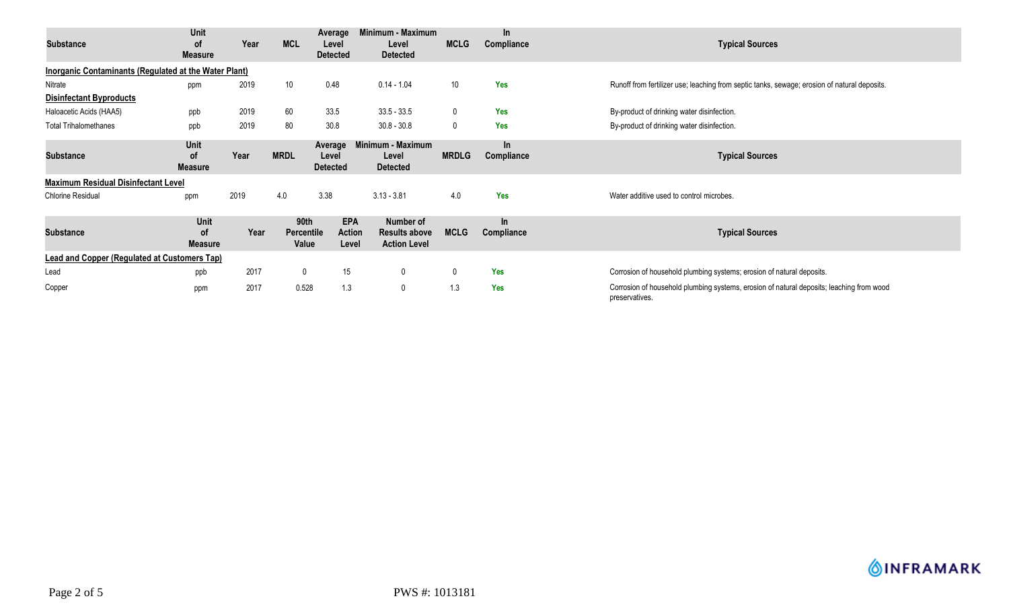| Substance                                                    | Unit<br><b>of</b><br><b>Measure</b> | Year | <b>MCL</b>                         | Average<br>Level<br><b>Detected</b>  | Minimum - Maximum<br>Level<br><b>Detected</b>            | <b>MCLG</b>  | In.<br>Compliance   | <b>Typical Sources</b>                                                                                     |
|--------------------------------------------------------------|-------------------------------------|------|------------------------------------|--------------------------------------|----------------------------------------------------------|--------------|---------------------|------------------------------------------------------------------------------------------------------------|
| <b>Inorganic Contaminants (Regulated at the Water Plant)</b> |                                     |      |                                    |                                      |                                                          |              |                     |                                                                                                            |
| Nitrate                                                      | ppm                                 | 2019 | 10                                 | 0.48                                 | $0.14 - 1.04$                                            | 10           | <b>Yes</b>          | Runoff from fertilizer use; leaching from septic tanks, sewage; erosion of natural deposits.               |
| <b>Disinfectant Byproducts</b>                               |                                     |      |                                    |                                      |                                                          |              |                     |                                                                                                            |
| Haloacetic Acids (HAA5)                                      | ppb                                 | 2019 | 60                                 | 33.5                                 | $33.5 - 33.5$                                            | $\mathbf 0$  | <b>Yes</b>          | By-product of drinking water disinfection.                                                                 |
| <b>Total Trihalomethanes</b>                                 | ppb                                 | 2019 | 80                                 | 30.8                                 | $30.8 - 30.8$                                            | $\mathbf 0$  | <b>Yes</b>          | By-product of drinking water disinfection.                                                                 |
| <b>Substance</b>                                             | Unit<br><b>of</b><br><b>Measure</b> | Year | <b>MRDL</b>                        | Average<br>Level<br><b>Detected</b>  | Minimum - Maximum<br>Level<br><b>Detected</b>            | <b>MRDLG</b> | $\ln$<br>Compliance | <b>Typical Sources</b>                                                                                     |
| <b>Maximum Residual Disinfectant Level</b>                   |                                     |      |                                    |                                      |                                                          |              |                     |                                                                                                            |
| <b>Chlorine Residual</b>                                     | ppm                                 | 2019 | 4.0                                | 3.38                                 | $3.13 - 3.81$                                            | 4.0          | Yes                 | Water additive used to control microbes.                                                                   |
| <b>Substance</b>                                             | Unit<br>οf<br><b>Measure</b>        | Year | 90th<br><b>Percentile</b><br>Value | <b>EPA</b><br><b>Action</b><br>Level | Number of<br><b>Results above</b><br><b>Action Level</b> | <b>MCLG</b>  | In<br>Compliance    | <b>Typical Sources</b>                                                                                     |
| <b>Lead and Copper (Regulated at Customers Tap)</b>          |                                     |      |                                    |                                      |                                                          |              |                     |                                                                                                            |
| Lead                                                         | ppb                                 | 2017 | $\mathbf 0$                        | 15                                   | $\mathbf 0$                                              | 0            | <b>Yes</b>          | Corrosion of household plumbing systems; erosion of natural deposits.                                      |
| Copper                                                       | ppm                                 | 2017 | 0.528                              | 1.3                                  | 0                                                        | 1.3          | <b>Yes</b>          | Corrosion of household plumbing systems, erosion of natural deposits; leaching from wood<br>preservatives. |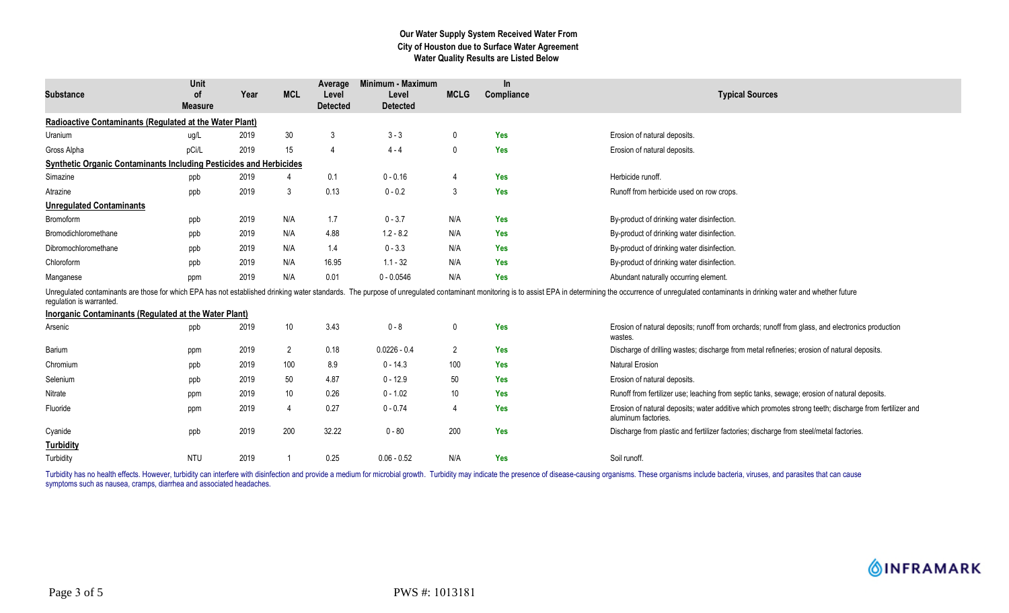# **Our Water Supply System Received Water From City of Houston due to Surface Water Agreement Water Quality Results are Listed Below**

| <b>Substance</b>                                                          | Unit<br>0f<br><b>Measure</b> | Year | <b>MCL</b>      | Average<br>Level<br><b>Detected</b> | Minimum - Maximum<br>Level<br><b>Detected</b> | <b>MCLG</b>    | In.<br>Compliance | <b>Typical Sources</b>                                                                                                                                                                                                         |
|---------------------------------------------------------------------------|------------------------------|------|-----------------|-------------------------------------|-----------------------------------------------|----------------|-------------------|--------------------------------------------------------------------------------------------------------------------------------------------------------------------------------------------------------------------------------|
| <b>Radioactive Contaminants (Regulated at the Water Plant)</b>            |                              |      |                 |                                     |                                               |                |                   |                                                                                                                                                                                                                                |
| Uranium                                                                   | ug/L                         | 2019 | $30\,$          | 3                                   | $3 - 3$                                       | $\mathbf 0$    | <b>Yes</b>        | Erosion of natural deposits.                                                                                                                                                                                                   |
| Gross Alpha                                                               | pCi/L                        | 2019 | 15              | $\overline{4}$                      | $4 - 4$                                       | 0              | <b>Yes</b>        | Erosion of natural deposits.                                                                                                                                                                                                   |
| <b>Synthetic Organic Contaminants Including Pesticides and Herbicides</b> |                              |      |                 |                                     |                                               |                |                   |                                                                                                                                                                                                                                |
| Simazine                                                                  | ppb                          | 2019 |                 | 0.1                                 | $0 - 0.16$                                    | $\overline{4}$ | Yes               | Herbicide runoff.                                                                                                                                                                                                              |
| Atrazine                                                                  | ppb                          | 2019 | 3               | 0.13                                | $0 - 0.2$                                     | 3              | <b>Yes</b>        | Runoff from herbicide used on row crops.                                                                                                                                                                                       |
| <b>Unregulated Contaminants</b>                                           |                              |      |                 |                                     |                                               |                |                   |                                                                                                                                                                                                                                |
| Bromoform                                                                 | ppb                          | 2019 | N/A             | 1.7                                 | $0 - 3.7$                                     | N/A            | Yes               | By-product of drinking water disinfection.                                                                                                                                                                                     |
| Bromodichloromethane                                                      | ppb                          | 2019 | N/A             | 4.88                                | $1.2 - 8.2$                                   | N/A            | Yes               | By-product of drinking water disinfection.                                                                                                                                                                                     |
| Dibromochloromethane                                                      | ppb                          | 2019 | N/A             | 1.4                                 | $0 - 3.3$                                     | N/A            | <b>Yes</b>        | By-product of drinking water disinfection.                                                                                                                                                                                     |
| Chloroform                                                                | ppb                          | 2019 | N/A             | 16.95                               | $1.1 - 32$                                    | N/A            | <b>Yes</b>        | By-product of drinking water disinfection.                                                                                                                                                                                     |
| Manganese                                                                 | ppm                          | 2019 | N/A             | 0.01                                | $0 - 0.0546$                                  | N/A            | <b>Yes</b>        | Abundant naturally occurring element.                                                                                                                                                                                          |
| regulation is warranted.                                                  |                              |      |                 |                                     |                                               |                |                   | Unregulated contaminants are those for which EPA has not established drinking water standards. The purpose of unregulated contaminant monitoring is to assist EPA in determining the occurrence of unregulated contaminants in |
| Inorganic Contaminants (Regulated at the Water Plant)                     |                              |      |                 |                                     |                                               |                |                   |                                                                                                                                                                                                                                |
| Arsenic                                                                   | ppb                          | 2019 | 10              | 3.43                                | $0 - 8$                                       | 0              | Yes               | Erosion of natural deposits; runoff from orchards; runoff from glass, and electronics production<br>wastes.                                                                                                                    |
| Barium                                                                    | ppm                          | 2019 | $\overline{2}$  | 0.18                                | $0.0226 - 0.4$                                | 2              | Yes               | Discharge of drilling wastes; discharge from metal refineries; erosion of natural deposits.                                                                                                                                    |
| Chromium                                                                  | ppb                          | 2019 | 100             | 8.9                                 | $0 - 14.3$                                    | 100            | <b>Yes</b>        | <b>Natural Erosion</b>                                                                                                                                                                                                         |
| Selenium                                                                  | ppb                          | 2019 | 50              | 4.87                                | $0 - 12.9$                                    | 50             | <b>Yes</b>        | Erosion of natural deposits.                                                                                                                                                                                                   |
| Nitrate                                                                   | ppm                          | 2019 | 10 <sup>°</sup> | 0.26                                | $0 - 1.02$                                    | 10             | <b>Yes</b>        | Runoff from fertilizer use; leaching from septic tanks, sewage; erosion of natural deposits.                                                                                                                                   |
| Fluoride                                                                  | ppm                          | 2019 | $\overline{4}$  | 0.27                                | $0 - 0.74$                                    | $\overline{4}$ | <b>Yes</b>        | Erosion of natural deposits; water additive which promotes strong teeth; discharge from fertilizer and<br>aluminum factories.                                                                                                  |
| Cyanide                                                                   | ppb                          | 2019 | 200             | 32.22                               | $0 - 80$                                      | 200            | <b>Yes</b>        | Discharge from plastic and fertilizer factories; discharge from steel/metal factories.                                                                                                                                         |
| <b>Turbidity</b>                                                          |                              |      |                 |                                     |                                               |                |                   |                                                                                                                                                                                                                                |
| Turbidity                                                                 | <b>NTU</b>                   | 2019 |                 | 0.25                                | $0.06 - 0.52$                                 | N/A            | <b>Yes</b>        | Soil runoff.                                                                                                                                                                                                                   |

Turbidity has no health effects. However, turbidity can interfere with disinfection and provide a medium for microbial growth. Turbidity may indicate the presence of disease-causing organisms. These organisms include bacte symptoms such as nausea, cramps, diarrhea and associated headaches.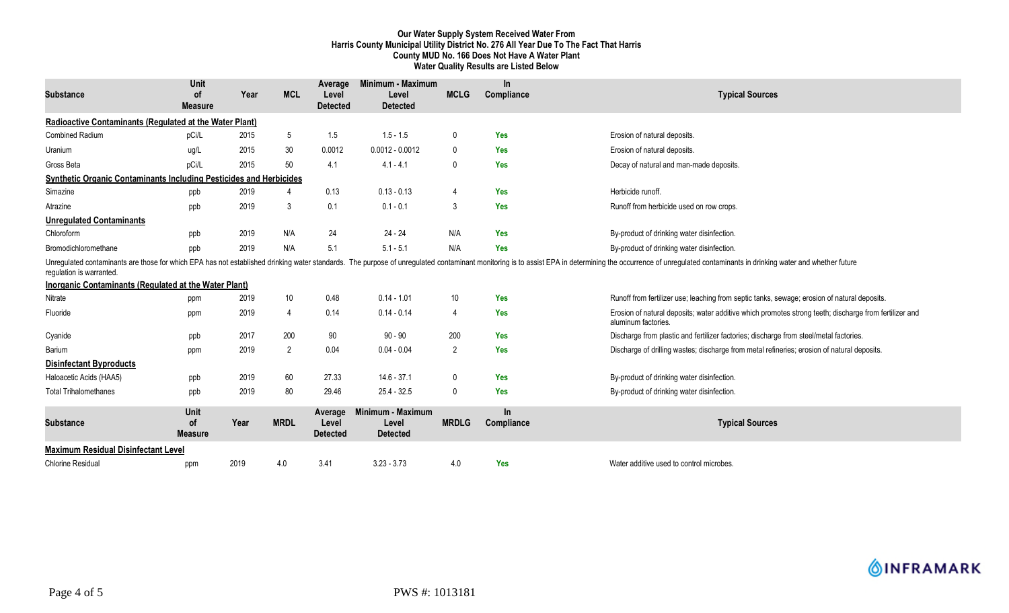# **Our Water Supply System Received Water From Harris County Municipal Utility District No. 276 All Year Due To The Fact That Harris County MUD No. 166 Does Not Have A Water Plant Water Quality Results are Listed Below**

|                                                                           | Unit                                |      |                | Average                             | Minimum - Maximum                             |                | In.               |                                                                                                                                                                                                                                |  |  |  |
|---------------------------------------------------------------------------|-------------------------------------|------|----------------|-------------------------------------|-----------------------------------------------|----------------|-------------------|--------------------------------------------------------------------------------------------------------------------------------------------------------------------------------------------------------------------------------|--|--|--|
| <b>Substance</b>                                                          | 0f<br><b>Measure</b>                | Year | <b>MCL</b>     | Level<br><b>Detected</b>            | Level<br><b>Detected</b>                      | <b>MCLG</b>    | Compliance        | <b>Typical Sources</b>                                                                                                                                                                                                         |  |  |  |
| Radioactive Contaminants (Regulated at the Water Plant)                   |                                     |      |                |                                     |                                               |                |                   |                                                                                                                                                                                                                                |  |  |  |
| Combined Radium                                                           | pCi/L                               | 2015 | 5              | 1.5                                 | $1.5 - 1.5$                                   | $\mathbf{0}$   | <b>Yes</b>        | Erosion of natural deposits.                                                                                                                                                                                                   |  |  |  |
| Uranium                                                                   | ug/L                                | 2015 | 30             | 0.0012                              | $0.0012 - 0.0012$                             | $\mathbf{0}$   | <b>Yes</b>        | Erosion of natural deposits.                                                                                                                                                                                                   |  |  |  |
| Gross Beta                                                                | pCi/L                               | 2015 | 50             | 4.1                                 | $4.1 - 4.1$                                   | $\Omega$       | <b>Yes</b>        | Decay of natural and man-made deposits.                                                                                                                                                                                        |  |  |  |
| <b>Synthetic Organic Contaminants Including Pesticides and Herbicides</b> |                                     |      |                |                                     |                                               |                |                   |                                                                                                                                                                                                                                |  |  |  |
| Simazine                                                                  | ppb                                 | 2019 | $\overline{4}$ | 0.13                                | $0.13 - 0.13$                                 | $\overline{4}$ | <b>Yes</b>        | Herbicide runoff.                                                                                                                                                                                                              |  |  |  |
| Atrazine                                                                  | ppb                                 | 2019 | 3              | 0.1                                 | $0.1 - 0.1$                                   | 3              | <b>Yes</b>        | Runoff from herbicide used on row crops.                                                                                                                                                                                       |  |  |  |
| <b>Unregulated Contaminants</b>                                           |                                     |      |                |                                     |                                               |                |                   |                                                                                                                                                                                                                                |  |  |  |
| Chloroform                                                                | ppb                                 | 2019 | N/A            | 24                                  | $24 - 24$                                     | N/A            | <b>Yes</b>        | By-product of drinking water disinfection.                                                                                                                                                                                     |  |  |  |
| Bromodichloromethane                                                      | ppb                                 | 2019 | N/A            | 5.1                                 | $5.1 - 5.1$                                   | N/A            | <b>Yes</b>        | By-product of drinking water disinfection.                                                                                                                                                                                     |  |  |  |
| regulation is warranted.                                                  |                                     |      |                |                                     |                                               |                |                   | Unregulated contaminants are those for which EPA has not established drinking water standards. The purpose of unregulated contaminant monitoring is to assist EPA in determining the occurrence of unregulated contaminants in |  |  |  |
| Inorganic Contaminants (Regulated at the Water Plant)                     |                                     |      |                |                                     |                                               |                |                   |                                                                                                                                                                                                                                |  |  |  |
| Nitrate                                                                   | ppm                                 | 2019 | 10             | 0.48                                | $0.14 - 1.01$                                 | 10             | Yes               | Runoff from fertilizer use; leaching from septic tanks, sewage; erosion of natural deposits.                                                                                                                                   |  |  |  |
| Fluoride                                                                  | ppm                                 | 2019 | $\overline{4}$ | 0.14                                | $0.14 - 0.14$                                 | 4              | <b>Yes</b>        | Erosion of natural deposits; water additive which promotes strong teeth; discharge from fertilizer and<br>aluminum factories.                                                                                                  |  |  |  |
| Cyanide                                                                   | ppb                                 | 2017 | 200            | 90                                  | $90 - 90$                                     | 200            | Yes               | Discharge from plastic and fertilizer factories; discharge from steel/metal factories.                                                                                                                                         |  |  |  |
| Barium                                                                    | ppm                                 | 2019 | 2              | 0.04                                | $0.04 - 0.04$                                 | 2              | <b>Yes</b>        | Discharge of drilling wastes; discharge from metal refineries; erosion of natural deposits.                                                                                                                                    |  |  |  |
| <b>Disinfectant Byproducts</b>                                            |                                     |      |                |                                     |                                               |                |                   |                                                                                                                                                                                                                                |  |  |  |
| Haloacetic Acids (HAA5)                                                   | ppb                                 | 2019 | 60             | 27.33                               | $14.6 - 37.1$                                 | 0              | <b>Yes</b>        | By-product of drinking water disinfection.                                                                                                                                                                                     |  |  |  |
| <b>Total Trihalomethanes</b>                                              | ppb                                 | 2019 | 80             | 29.46                               | $25.4 - 32.5$                                 | $\mathbf{0}$   | <b>Yes</b>        | By-product of drinking water disinfection.                                                                                                                                                                                     |  |  |  |
| <b>Substance</b>                                                          | Unit<br><b>of</b><br><b>Measure</b> | Year | <b>MRDL</b>    | Average<br>Level<br><b>Detected</b> | Minimum - Maximum<br>Level<br><b>Detected</b> | <b>MRDLG</b>   | In.<br>Compliance | <b>Typical Sources</b>                                                                                                                                                                                                         |  |  |  |
| <b>Maximum Residual Disinfectant Level</b>                                |                                     |      |                |                                     |                                               |                |                   |                                                                                                                                                                                                                                |  |  |  |
| <b>Chlorine Residual</b>                                                  | ppm                                 | 2019 | 4.0            | 3.41                                | $3.23 - 3.73$                                 | 4.0            | Yes               | Water additive used to control microbes.                                                                                                                                                                                       |  |  |  |